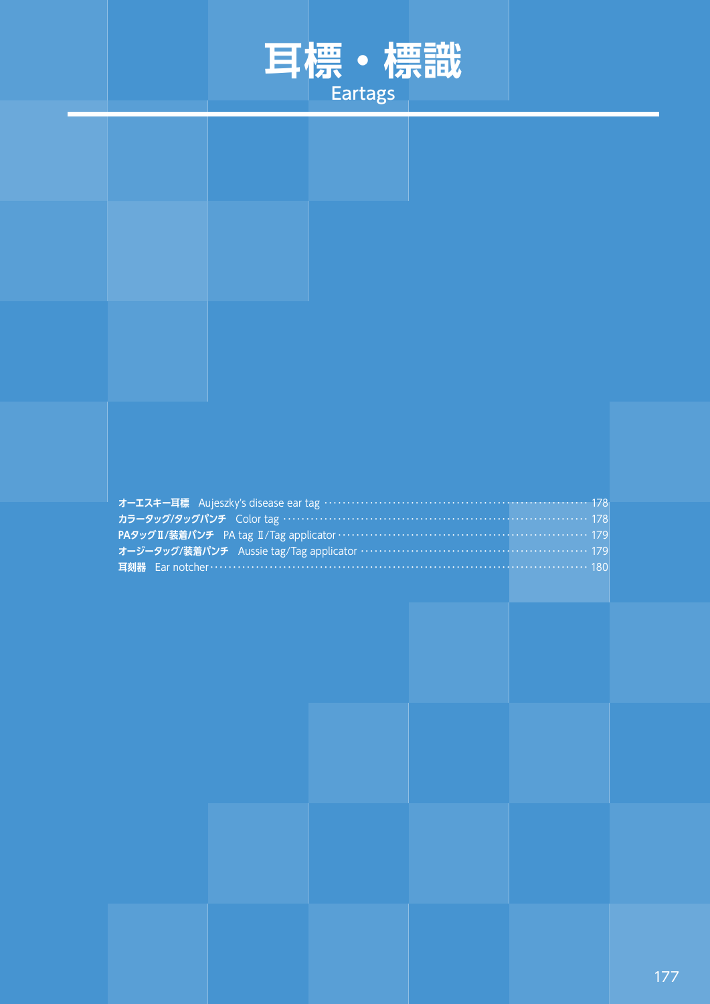

| オーエスキー耳標 Aujeszky's disease ear tag ………………………………………………………… 178    |  |
|-------------------------------------------------------------------|--|
| カラータッグ/タッグパンチ Color tag ………………………………………………………………… 178             |  |
| PAタッグII/装着パンチ PA tag II/Tag applicator ………………………………………………………… 179 |  |
|                                                                   |  |
|                                                                   |  |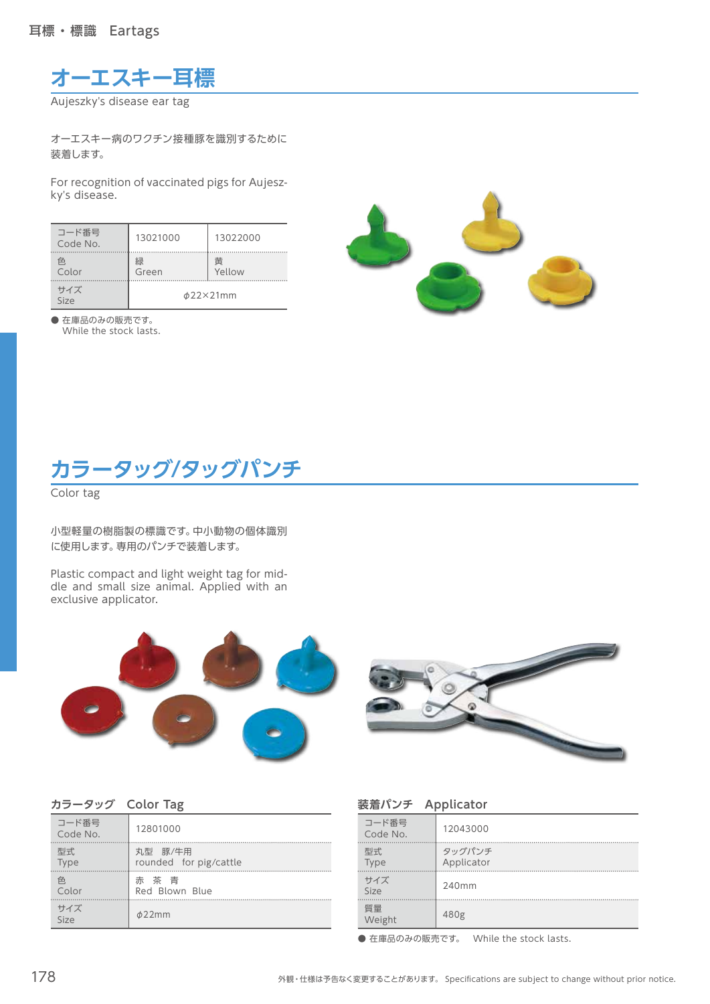**オーエスキー耳標**

Aujeszky's disease ear tag

オーエスキー病のワクチン接種豚を識別するために 装着します。

For recognition of vaccinated pigs for Aujeszky's disease.

| コード番号<br>Code No. | 13021000       | 13022000    |
|-------------------|----------------|-------------|
| 色<br>Color        | 緑<br>Green     | 黄<br>Yellow |
| サイズ<br>Size       | $\phi$ 22×21mm |             |

● 在庫品のみの販売です。 While the stock lasts.



## **カラータッグ/タッグパンチ**

Color tag

小型軽量の樹脂製の標識です。中小動物の個体識別 に使用します。専用のパンチで装着します。

Plastic compact and light weight tag for middle and small size animal. Applied with an exclusive applicator.





| カラータッグ Color Tag |  |
|------------------|--|
|------------------|--|

| コード番号<br>Code No. | 12801000               |
|-------------------|------------------------|
| 型式                | 丸型 豚/牛用                |
| <b>Type</b>       | rounded for pig/cattle |
| 色                 | 赤茶青                    |
| Color             | Red Blown Blue         |
| サイズ<br>Size       | $\phi$ 22mm            |

| 装着パンチ Applicator  |                      |  |
|-------------------|----------------------|--|
| コード番号<br>Code No. | 12043000             |  |
| 型式<br><b>Type</b> | タッグパンチ<br>Applicator |  |
| サイズ<br>Size       | 240mm                |  |
| 質量<br>Weight      | 480g                 |  |
|                   |                      |  |

● 在庫品のみの販売です。 While the stock lasts.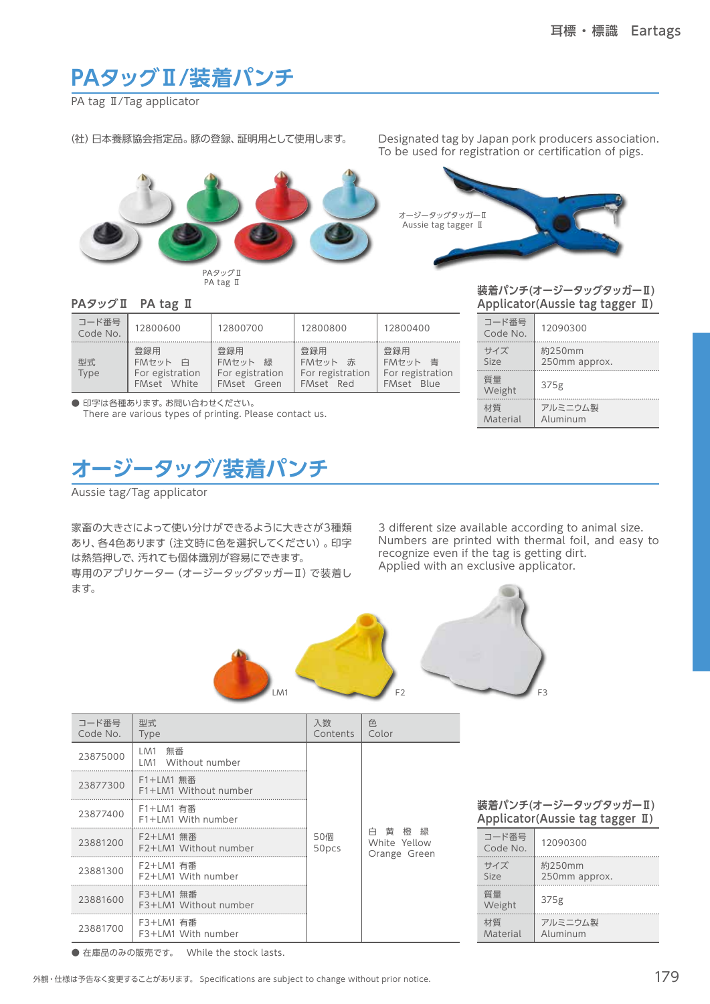## **PAタッグⅡ/装着パンチ**

PA tag **Ⅱ/Tag** applicator

(社)日本養豚協会指定品。豚の登録、証明用として使用します。

Designated tag by Japan pork producers association. To be used for registration or certification of pigs.



PAタッグⅡ PA tag Ⅱ



## **PAタッグⅡ PA tag Ⅱ**

| コード番号<br>Code No. | 12800600                                            | 12800700                                            | 12800800                                           | 12800400                                                      |
|-------------------|-----------------------------------------------------|-----------------------------------------------------|----------------------------------------------------|---------------------------------------------------------------|
| 型式.<br>Type       | 登録用<br>FMセット<br>白<br>For egistration<br>FMset White | 登録用<br>FMセット<br>緑<br>For egistration<br>FMset Green | 登録用<br>FMセット<br>赤<br>For registration<br>FMset Red | 登録用<br>FMセット<br>青<br>For registration<br>Blue<br><b>FMset</b> |

● 印字は各種あります。お問い合わせください。 There are various types of printing. Please contact us.

| 装着パンチ(オージータッグタッガーⅡ)              |  |
|----------------------------------|--|
| Applicator(Aussie tag tagger II) |  |

| 材質                | アルミニウム製       |
|-------------------|---------------|
| Material          | Aluminum      |
| 質量<br>Weight      | 375g          |
| サイズ               | 約250mm        |
| Size              | 250mm approx. |
| コード番号<br>Code No. | 12090300      |

**オージータッグ/装着パンチ**

Aussie tag/Tag applicator

家畜の大きさによって使い分けができるように大きさが3種類 あり、各4色あります(注文時に色を選択してください)。印字 は熱箔押しで、汚れても個体識別が容易にできます。 専用のアプリケーター(オージータッグタッガーⅡ)で装着し ます。

3 different size available according to animal size. Numbers are printed with thermal foil, and easy to recognize even if the tag is getting dirt. Applied with an exclusive applicator.



| コード番号<br>Code No. | 型式<br><b>Type</b>                  | 入数<br>Contents | 色<br>Color                           |
|-------------------|------------------------------------|----------------|--------------------------------------|
| 23875000          | 無番<br>LM1<br>LM1 Without number    |                |                                      |
| 23877300          | F1+LM1 無番<br>F1+LM1 Without number |                |                                      |
| 23877400          | F1+LM1 有番<br>F1+LM1 With number    |                |                                      |
| 23881200          | F2+LM1 無番<br>F2+LM1 Without number | 50個<br>50pcs   | 白黄橙緑<br>White Yellow<br>Orange Green |
| 23881300          | F2+LM1 有番<br>F2+LM1 With number    |                |                                      |
| 23881600          | F3+LM1 無番<br>F3+LM1 Without number |                |                                      |
| 23881700          | F3+LM1 有番<br>F3+LM1 With number    |                |                                      |

**装着パンチ(オージータッグタッガーⅡ) Applicator(Aussie tag tagger Ⅱ)**

| コード番号<br>Code No. | 12090300                |
|-------------------|-------------------------|
| サイズ<br>Size       | 約250mm<br>250mm approx. |
| 質量<br>Weight      | 375g                    |
| 材質<br>Material    | アルミニウム製<br>Aluminum     |

● 在庫品のみの販売です。 While the stock lasts.